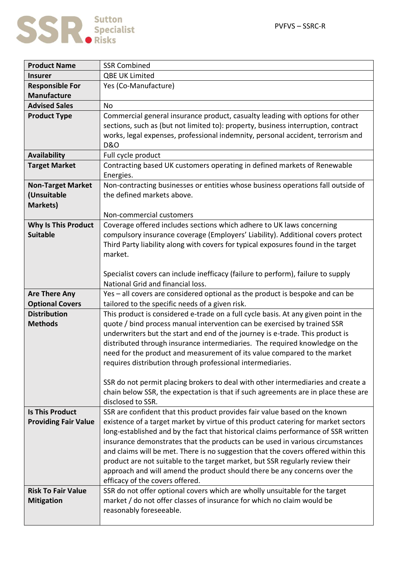

| <b>Product Name</b>         | <b>SSR Combined</b>                                                                                                                                                      |
|-----------------------------|--------------------------------------------------------------------------------------------------------------------------------------------------------------------------|
| <b>Insurer</b>              | <b>QBE UK Limited</b>                                                                                                                                                    |
| <b>Responsible For</b>      | Yes (Co-Manufacture)                                                                                                                                                     |
| <b>Manufacture</b>          |                                                                                                                                                                          |
| <b>Advised Sales</b>        | <b>No</b>                                                                                                                                                                |
| <b>Product Type</b>         | Commercial general insurance product, casualty leading with options for other                                                                                            |
|                             | sections, such as (but not limited to): property, business interruption, contract                                                                                        |
|                             | works, legal expenses, professional indemnity, personal accident, terrorism and                                                                                          |
|                             | <b>D&amp;O</b>                                                                                                                                                           |
| <b>Availability</b>         | Full cycle product                                                                                                                                                       |
| <b>Target Market</b>        | Contracting based UK customers operating in defined markets of Renewable                                                                                                 |
|                             | Energies.                                                                                                                                                                |
| <b>Non-Target Market</b>    | Non-contracting businesses or entities whose business operations fall outside of                                                                                         |
| (Unsuitable                 | the defined markets above.                                                                                                                                               |
| <b>Markets)</b>             |                                                                                                                                                                          |
|                             | Non-commercial customers                                                                                                                                                 |
| <b>Why Is This Product</b>  | Coverage offered includes sections which adhere to UK laws concerning                                                                                                    |
| <b>Suitable</b>             | compulsory insurance coverage (Employers' Liability). Additional covers protect                                                                                          |
|                             | Third Party liability along with covers for typical exposures found in the target                                                                                        |
|                             | market.                                                                                                                                                                  |
|                             |                                                                                                                                                                          |
|                             | Specialist covers can include inefficacy (failure to perform), failure to supply                                                                                         |
|                             | National Grid and financial loss.                                                                                                                                        |
| <b>Are There Any</b>        | Yes - all covers are considered optional as the product is bespoke and can be                                                                                            |
| <b>Optional Covers</b>      | tailored to the specific needs of a given risk.                                                                                                                          |
| <b>Distribution</b>         | This product is considered e-trade on a full cycle basis. At any given point in the                                                                                      |
| <b>Methods</b>              | quote / bind process manual intervention can be exercised by trained SSR                                                                                                 |
|                             | underwriters but the start and end of the journey is e-trade. This product is                                                                                            |
|                             | distributed through insurance intermediaries. The required knowledge on the                                                                                              |
|                             | need for the product and measurement of its value compared to the market                                                                                                 |
|                             | requires distribution through professional intermediaries.                                                                                                               |
|                             |                                                                                                                                                                          |
|                             | SSR do not permit placing brokers to deal with other intermediaries and create a                                                                                         |
|                             | chain below SSR, the expectation is that if such agreements are in place these are                                                                                       |
| <b>Is This Product</b>      | disclosed to SSR.                                                                                                                                                        |
|                             | SSR are confident that this product provides fair value based on the known                                                                                               |
| <b>Providing Fair Value</b> | existence of a target market by virtue of this product catering for market sectors<br>long-established and by the fact that historical claims performance of SSR written |
|                             | insurance demonstrates that the products can be used in various circumstances                                                                                            |
|                             | and claims will be met. There is no suggestion that the covers offered within this                                                                                       |
|                             |                                                                                                                                                                          |
|                             | product are not suitable to the target market, but SSR regularly review their<br>approach and will amend the product should there be any concerns over the               |
|                             | efficacy of the covers offered.                                                                                                                                          |
| <b>Risk To Fair Value</b>   | SSR do not offer optional covers which are wholly unsuitable for the target                                                                                              |
| <b>Mitigation</b>           | market / do not offer classes of insurance for which no claim would be                                                                                                   |
|                             | reasonably foreseeable.                                                                                                                                                  |
|                             |                                                                                                                                                                          |